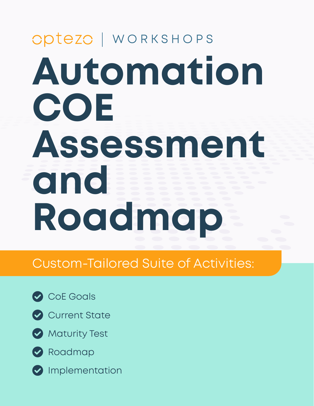# **Automation COE Assessment and Roadmap** Optezo | WORKSHOPS

## Custom-Tailored Suite of Activities:





Current State





- 
- **O** Implementation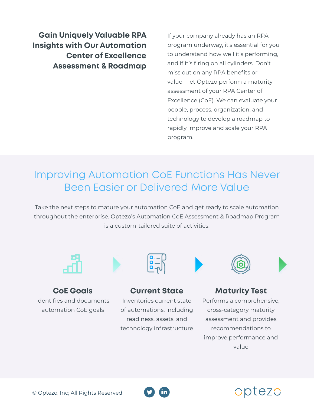**Gain Uniquely Valuable RPA Insights with Our Automation Center of Excellence Assessment & Roadmap**

If your company already has an RPA program underway, it's essential for you to understand how well it's performing, and if it's firing on all cylinders. Don't miss out on any RPA benefits or value – let Optezo perform a maturity assessment of your RPA Center of Excellence (CoE). We can evaluate your people, process, organization, and technology to develop a roadmap to rapidly improve and scale your RPA program.

## Improving Automation CoE Functions Has Never Been Easier or Delivered More Value

Take the next steps to mature your automation CoE and get ready to scale automation throughout the enterprise. Optezo's Automation CoE Assessment & Roadmap Program is a custom-tailored suite of activities:



**CoE Goals** Identifies and documents automation CoE goals



#### **Current State**

Inventories current state of automations, including readiness, assets, and technology infrastructure



#### **Maturity Test**

Performs a comprehensive, cross-category maturity assessment and provides recommendations to improve performance and value

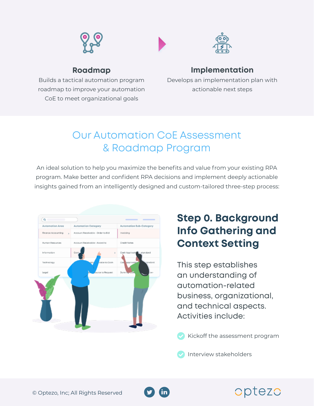







#### **Roadmap**

Builds a tactical automation program roadmap to improve your automation CoE to meet organizational goals

#### **Implementation**

Develops an implementation plan with actionable next steps

## Our Automation CoE Assessment & Roadmap Program

An ideal solution to help you maximize the benefits and value from your existing RPA program. Make better and confident RPA decisions and implement deeply actionable insights gained from an intelligently designed and custom-tailored three-step process:



## **Step 0. Background Info Gathering and Context Setting**

This step establishes an understanding of automation-related business, organizational, and technical aspects. Activities include:

Kickoff the assessment program

Interview stakeholders



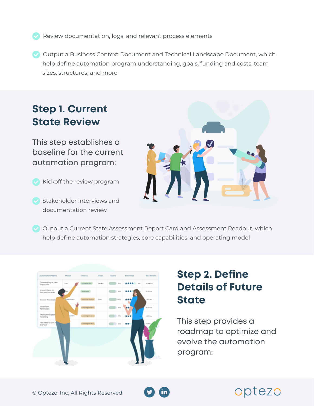- Review documentation, logs, and relevant process elements
- $\blacktriangleright$  Output a Business Context Document and Technical Landscape Document, which help define automation program understanding, goals, funding and costs, team sizes, structures, and more

### **Step 1. Current State Review**

This step establishes a baseline for the current automation program:

- Kickoff the review program
- Stakeholder interviews and documentation review



Output a Current State Assessment Report Card and Assessment Readout, which help define automation strategies, core capabilities, and operating model



## **Step 2. Define Details of Future State**

This step provides a roadmap to optimize and evolve the automation program:

optezo